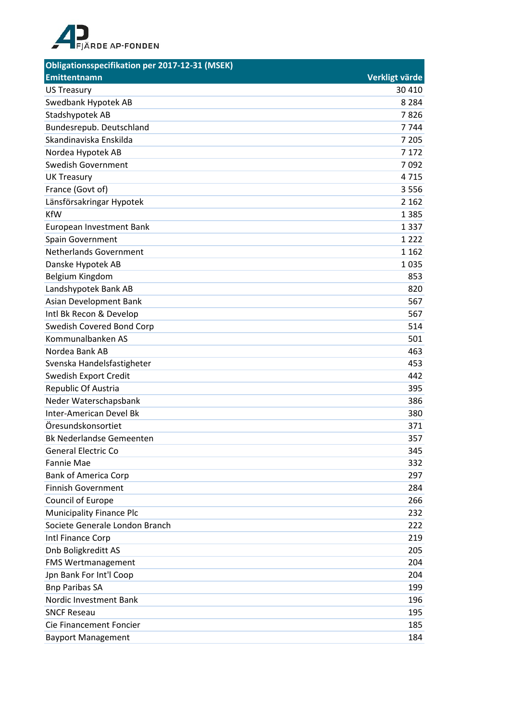

| Obligationsspecifikation per 2017-12-31 (MSEK) |                |
|------------------------------------------------|----------------|
| <b>Emittentnamn</b>                            | Verkligt värde |
| <b>US Treasury</b>                             | 30 410         |
| Swedbank Hypotek AB                            | 8 2 8 4        |
| Stadshypotek AB                                | 7826           |
| Bundesrepub. Deutschland                       | 7744           |
| Skandinaviska Enskilda                         | 7 2 0 5        |
| Nordea Hypotek AB                              | 7 1 7 2        |
| <b>Swedish Government</b>                      | 7092           |
| <b>UK Treasury</b>                             | 4715           |
| France (Govt of)                               | 3 5 5 6        |
| Länsförsakringar Hypotek                       | 2 1 6 2        |
| <b>KfW</b>                                     | 1 3 8 5        |
| European Investment Bank                       | 1 3 3 7        |
| Spain Government                               | 1 2 2 2        |
| <b>Netherlands Government</b>                  | 1 1 6 2        |
| Danske Hypotek AB                              | 1035           |
| Belgium Kingdom                                | 853            |
| Landshypotek Bank AB                           | 820            |
| Asian Development Bank                         | 567            |
| Intl Bk Recon & Develop                        | 567            |
| Swedish Covered Bond Corp                      | 514            |
| Kommunalbanken AS                              | 501            |
| Nordea Bank AB                                 | 463            |
| Svenska Handelsfastigheter                     | 453            |
| Swedish Export Credit                          | 442            |
| Republic Of Austria                            | 395            |
| Neder Waterschapsbank                          | 386            |
| <b>Inter-American Devel Bk</b>                 | 380            |
| Öresundskonsortiet                             | 371            |
| <b>Bk Nederlandse Gemeenten</b>                | 357            |
| <b>General Electric Co</b>                     | 345            |
| <b>Fannie Mae</b>                              | 332            |
| <b>Bank of America Corp</b>                    | 297            |
| <b>Finnish Government</b>                      | 284            |
| Council of Europe                              | 266            |
| <b>Municipality Finance Plc</b>                | 232            |
| Societe Generale London Branch                 | 222            |
| Intl Finance Corp                              | 219            |
| Dnb Boligkreditt AS                            | 205            |
| <b>FMS Wertmanagement</b>                      | 204            |
| Jpn Bank For Int'l Coop                        | 204            |
| <b>Bnp Paribas SA</b>                          | 199            |
| Nordic Investment Bank                         | 196            |
| <b>SNCF Reseau</b>                             | 195            |
| Cie Financement Foncier                        | 185            |
| <b>Bayport Management</b>                      | 184            |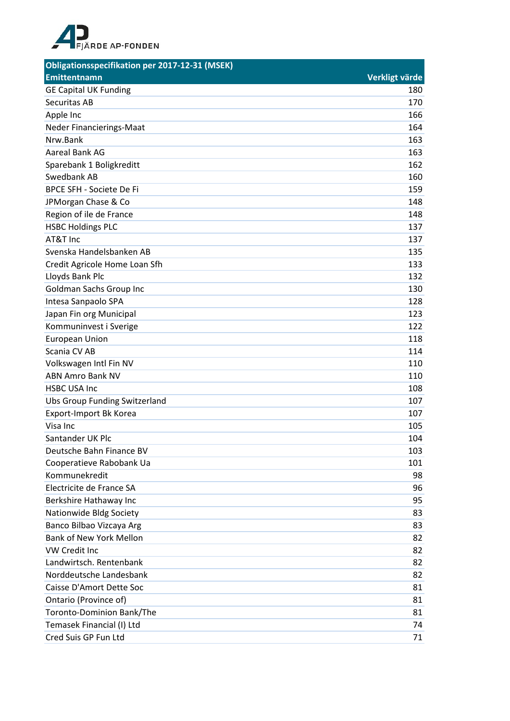

| <b>Obligationsspecifikation per 2017-12-31 (MSEK)</b> |                |
|-------------------------------------------------------|----------------|
| <b>Emittentnamn</b>                                   | Verkligt värde |
| <b>GE Capital UK Funding</b>                          | 180            |
| Securitas AB                                          | 170            |
| Apple Inc                                             | 166            |
| Neder Financierings-Maat                              | 164            |
| Nrw.Bank                                              | 163            |
| Aareal Bank AG                                        | 163            |
| Sparebank 1 Boligkreditt                              | 162            |
| Swedbank AB                                           | 160            |
| BPCE SFH - Societe De Fi                              | 159            |
| JPMorgan Chase & Co                                   | 148            |
| Region of ile de France                               | 148            |
| <b>HSBC Holdings PLC</b>                              | 137            |
| AT&T Inc                                              | 137            |
| Svenska Handelsbanken AB                              | 135            |
| Credit Agricole Home Loan Sfh                         | 133            |
| Lloyds Bank Plc                                       | 132            |
| <b>Goldman Sachs Group Inc</b>                        | 130            |
| Intesa Sanpaolo SPA                                   | 128            |
| Japan Fin org Municipal                               | 123            |
| Kommuninvest i Sverige                                | 122            |
| <b>European Union</b>                                 | 118            |
| Scania CV AB                                          | 114            |
| Volkswagen Intl Fin NV                                | 110            |
| <b>ABN Amro Bank NV</b>                               | 110            |
| <b>HSBC USA Inc</b>                                   | 108            |
| <b>Ubs Group Funding Switzerland</b>                  | 107            |
| Export-Import Bk Korea                                | 107            |
| Visa Inc                                              | 105            |
| Santander UK Plc                                      | 104            |
| Deutsche Bahn Finance BV                              | 103            |
| Cooperatieve Rabobank Ua                              | 101            |
| Kommunekredit                                         | 98             |
| Electricite de France SA                              | 96             |
| Berkshire Hathaway Inc                                | 95             |
| Nationwide Bldg Society                               | 83             |
| Banco Bilbao Vizcaya Arg                              | 83             |
| <b>Bank of New York Mellon</b>                        | 82             |
| VW Credit Inc                                         | 82             |
| Landwirtsch. Rentenbank                               | 82             |
| Norddeutsche Landesbank                               | 82             |
| Caisse D'Amort Dette Soc                              | 81             |
| Ontario (Province of)                                 | 81             |
| Toronto-Dominion Bank/The                             | 81             |
| Temasek Financial (I) Ltd                             | 74             |
| Cred Suis GP Fun Ltd                                  | 71             |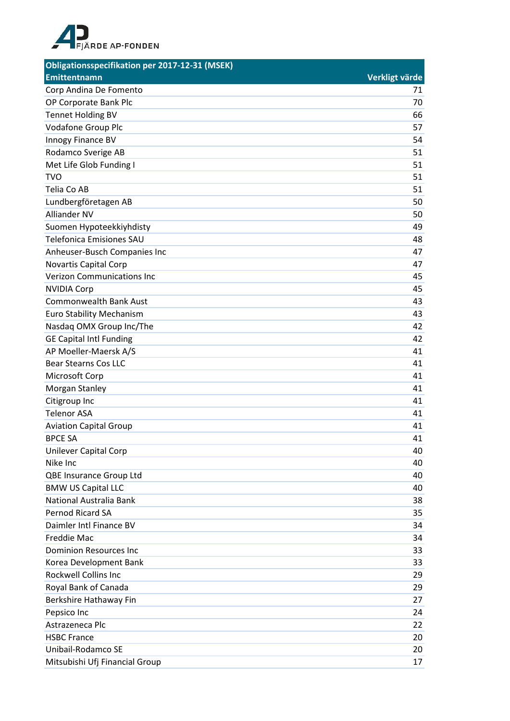

| <b>Obligationsspecifikation per 2017-12-31 (MSEK)</b> |                |
|-------------------------------------------------------|----------------|
| <b>Emittentnamn</b>                                   | Verkligt värde |
| Corp Andina De Fomento                                | 71             |
| OP Corporate Bank Plc                                 | 70             |
| <b>Tennet Holding BV</b>                              | 66             |
| Vodafone Group Plc                                    | 57             |
| Innogy Finance BV                                     | 54             |
| Rodamco Sverige AB                                    | 51             |
| Met Life Glob Funding I                               | 51             |
| <b>TVO</b>                                            | 51             |
| Telia Co AB                                           | 51             |
| Lundbergföretagen AB                                  | 50             |
| <b>Alliander NV</b>                                   | 50             |
| Suomen Hypoteekkiyhdisty                              | 49             |
| <b>Telefonica Emisiones SAU</b>                       | 48             |
| Anheuser-Busch Companies Inc                          | 47             |
| Novartis Capital Corp                                 | 47             |
| <b>Verizon Communications Inc</b>                     | 45             |
| <b>NVIDIA Corp</b>                                    | 45             |
| <b>Commonwealth Bank Aust</b>                         | 43             |
| <b>Euro Stability Mechanism</b>                       | 43             |
| Nasdaq OMX Group Inc/The                              | 42             |
| <b>GE Capital Intl Funding</b>                        | 42             |
| AP Moeller-Maersk A/S                                 | 41             |
| <b>Bear Stearns Cos LLC</b>                           | 41             |
| Microsoft Corp                                        | 41             |
| Morgan Stanley                                        | 41             |
| Citigroup Inc                                         | 41             |
| <b>Telenor ASA</b>                                    | 41             |
| <b>Aviation Capital Group</b>                         | 41             |
| <b>BPCE SA</b>                                        | 41             |
| <b>Unilever Capital Corp</b>                          | 40             |
| Nike Inc                                              | 40             |
| QBE Insurance Group Ltd                               | 40             |
| <b>BMW US Capital LLC</b>                             | 40             |
| National Australia Bank                               | 38             |
| <b>Pernod Ricard SA</b>                               | 35             |
| Daimler Intl Finance BV                               | 34             |
| Freddie Mac                                           | 34             |
| <b>Dominion Resources Inc</b>                         | 33             |
| Korea Development Bank                                | 33             |
| <b>Rockwell Collins Inc</b>                           | 29             |
| Royal Bank of Canada                                  | 29             |
| Berkshire Hathaway Fin                                | 27             |
| Pepsico Inc                                           | 24             |
| Astrazeneca Plc                                       | 22             |
| <b>HSBC France</b>                                    | 20             |
| Unibail-Rodamco SE                                    | 20             |
| Mitsubishi Ufj Financial Group                        | 17             |